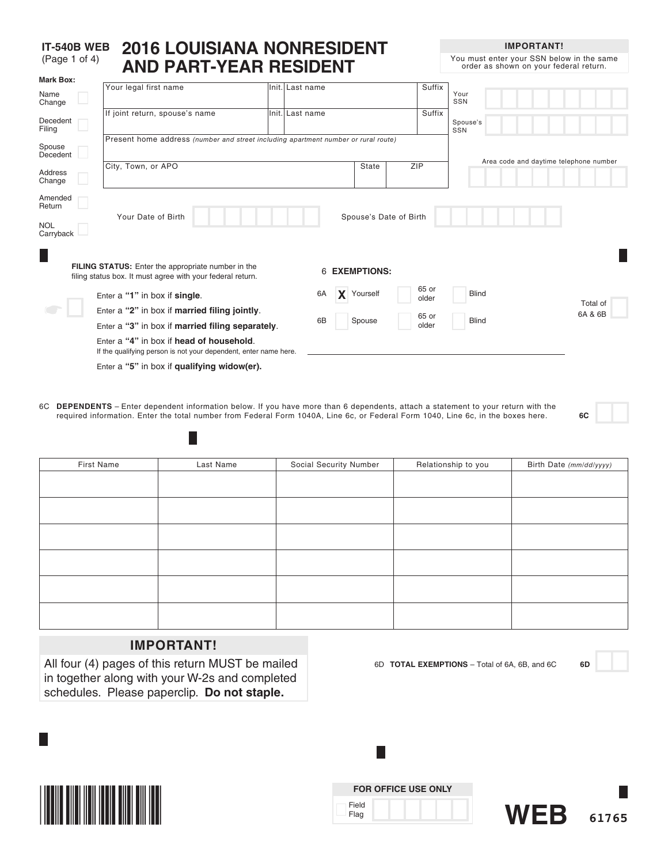#### **IT-540B WEB 2016 LOUISIANA NONRESIDENT**  (Page 1 of 4) **AND PART-YEAR RESIDENT Mark Box:**

**IMPORTANT!**

You must enter your SSN below in the same order as shown on your federal return.

| ινιαι κ υυλ.<br>Name<br>Change               | Your legal first name                                                                                                   | Init. Last name      |            |                        | Suffix         | Your<br>SSN                            |  |
|----------------------------------------------|-------------------------------------------------------------------------------------------------------------------------|----------------------|------------|------------------------|----------------|----------------------------------------|--|
| Decedent<br>Filing                           | If joint return, spouse's name                                                                                          | Init. Last name      |            |                        | Suffix         | Spouse's<br>SSN                        |  |
| Spouse<br>Decedent                           | Present home address (number and street including apartment number or rural route)                                      |                      |            |                        |                |                                        |  |
| Address<br>Change                            | City, Town, or APO                                                                                                      |                      | State      |                        | ZIP            | Area code and daytime telephone number |  |
| Amended<br>Return<br><b>NOL</b><br>Carryback | Your Date of Birth                                                                                                      |                      |            | Spouse's Date of Birth |                |                                        |  |
|                                              | <b>FILING STATUS:</b> Enter the appropriate number in the<br>filing status box. It must agree with your federal return. | <b>6 EXEMPTIONS:</b> |            |                        |                |                                        |  |
|                                              | Enter a "1" in box if single.                                                                                           | 6A                   | X Yourself |                        | 65 or<br>older | <b>Blind</b>                           |  |
|                                              | Enter a "2" in box if married filing jointly.                                                                           |                      |            |                        | 65 or          | Total of<br>6A & 6B                    |  |
|                                              | Enter a "3" in box if married filing separately.                                                                        | 6B                   | Spouse     |                        | older          | <b>Blind</b>                           |  |
|                                              | Enter a "4" in box if head of household.<br>If the qualifying person is not your dependent, enter name here.            |                      |            |                        |                |                                        |  |
|                                              | Enter a "5" in box if qualifying widow(er).                                                                             |                      |            |                        |                |                                        |  |

6C **DEPENDENTS** – Enter dependent information below. If you have more than 6 dependents, attach a statement to your return with the required information. Enter the total number from Federal Form 1040A, Line 6c, or Federal Form 1040, Line 6c, in the boxes here. **6C**

| First Name | Last Name | Social Security Number | Relationship to you | Birth Date (mm/dd/yyyy) |
|------------|-----------|------------------------|---------------------|-------------------------|
|            |           |                        |                     |                         |
|            |           |                        |                     |                         |
|            |           |                        |                     |                         |
|            |           |                        |                     |                         |
|            |           |                        |                     |                         |
|            |           |                        |                     |                         |
|            |           |                        |                     |                         |
|            |           |                        |                     |                         |
|            |           |                        |                     |                         |
|            |           |                        |                     |                         |
|            |           |                        |                     |                         |
|            |           |                        |                     |                         |

### **IMPORTANT!**

H

All four (4) pages of this return MUST be mailed in together along with your W-2s and completed schedules. Please paperclip. **Do not staple.**



| <b>FOR OFFICE USE ONLY</b> |  |  |  |  |  |  |
|----------------------------|--|--|--|--|--|--|
| Field<br>Flag              |  |  |  |  |  |  |

L.

6D **TOTAL EXEMPTIONS** – Total of 6A, 6B, and 6C **6D**

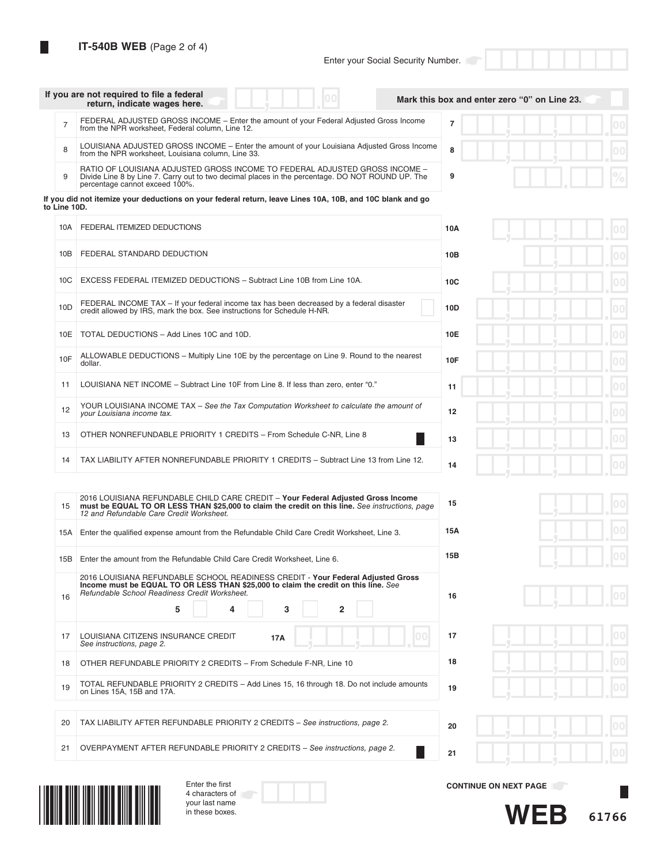**IT-540B WEB** (Page 2 of 4)

|                 | If you are not required to file a federal<br>00<br>return, indicate wages here.                                                                                                                                                                                   | Mark this box and enter zero "0" on Line 23. |
|-----------------|-------------------------------------------------------------------------------------------------------------------------------------------------------------------------------------------------------------------------------------------------------------------|----------------------------------------------|
| $\overline{7}$  | FEDERAL ADJUSTED GROSS INCOME - Enter the amount of your Federal Adjusted Gross Income<br>from the NPR worksheet, Federal column, Line 12.                                                                                                                        | $\overline{7}$<br>$00 \,$                    |
| 8               | LOUISIANA ADJUSTED GROSS INCOME - Enter the amount of your Louisiana Adjusted Gross Income<br>from the NPR worksheet, Louisiana column, Line 33.                                                                                                                  | 8                                            |
| 9               | RATIO OF LOUISIANA ADJUSTED GROSS INCOME TO FEDERAL ADJUSTED GROSS INCOME -<br>Divide Line 8 by Line 7. Carry out to two decimal places in the percentage. DO NOT ROUND UP. The<br>percentage cannot exceed 100%.                                                 | 9                                            |
| to Line 10D.    | If you did not itemize your deductions on your federal return, leave Lines 10A, 10B, and 10C blank and go                                                                                                                                                         |                                              |
| 10A             | FEDERAL ITEMIZED DEDUCTIONS                                                                                                                                                                                                                                       | 10A                                          |
| 10B             | FEDERAL STANDARD DEDUCTION                                                                                                                                                                                                                                        | 10B                                          |
| 10 <sub>C</sub> | EXCESS FEDERAL ITEMIZED DEDUCTIONS - Subtract Line 10B from Line 10A.                                                                                                                                                                                             | 0 <sub>0</sub><br>10 <sub>C</sub>            |
| 10D             | FEDERAL INCOME TAX - If your federal income tax has been decreased by a federal disaster<br>credit allowed by IRS, mark the box. See instructions for Schedule H-NR.                                                                                              | 10D<br>0 <sup>0</sup>                        |
| 10E             | TOTAL DEDUCTIONS - Add Lines 10C and 10D.                                                                                                                                                                                                                         | 00<br>10E                                    |
| 10F             | ALLOWABLE DEDUCTIONS – Multiply Line 10E by the percentage on Line 9. Round to the nearest<br>dollar.                                                                                                                                                             | 10F<br>0 <sup>0</sup>                        |
| 11              | LOUISIANA NET INCOME - Subtract Line 10F from Line 8. If less than zero, enter "0."                                                                                                                                                                               | 0 <sup>0</sup><br>11                         |
| 12              | YOUR LOUISIANA INCOME TAX - See the Tax Computation Worksheet to calculate the amount of<br>your Louisiana income tax.                                                                                                                                            | 12<br>00                                     |
| 13              | OTHER NONREFUNDABLE PRIORITY 1 CREDITS - From Schedule C-NR, Line 8                                                                                                                                                                                               | 00<br>13                                     |
| 14              | TAX LIABILITY AFTER NONREFUNDABLE PRIORITY 1 CREDITS - Subtract Line 13 from Line 12.                                                                                                                                                                             | 00<br>14                                     |
| 15              | 2016 LOUISIANA REFUNDABLE CHILD CARE CREDIT - Your Federal Adjusted Gross Income<br>must be EQUAL TO OR LESS THAN \$25,000 to claim the credit on this line. See instructions, page<br>12 and Refundable Care Credit Worksheet.                                   | 00<br>15                                     |
| 15A             | Enter the qualified expense amount from the Refundable Child Care Credit Worksheet, Line 3.                                                                                                                                                                       | 15A                                          |
| 15B             | Enter the amount from the Refundable Child Care Credit Worksheet, Line 6.                                                                                                                                                                                         | 15B                                          |
| 16              | 2016 LOUISIANA REFUNDABLE SCHOOL READINESS CREDIT - Your Federal Adjusted Gross<br>Income must be EQUAL TO OR LESS THAN \$25,000 to claim the credit on this line. See<br>Refundable School Readiness Credit Worksheet.<br>5<br>3<br>$\overline{\mathbf{2}}$<br>4 | 16                                           |
| 17              | LOUISIANA CITIZENS INSURANCE CREDIT<br>17A<br>See instructions, page 2.                                                                                                                                                                                           | 00<br>17                                     |
| 18              | OTHER REFUNDABLE PRIORITY 2 CREDITS - From Schedule F-NR, Line 10                                                                                                                                                                                                 | 18                                           |
| 19              | TOTAL REFUNDABLE PRIORITY 2 CREDITS - Add Lines 15, 16 through 18. Do not include amounts<br>on Lines 15A, 15B and 17A.                                                                                                                                           | 19                                           |
| 20              | TAX LIABILITY AFTER REFUNDABLE PRIORITY 2 CREDITS - See instructions, page 2.                                                                                                                                                                                     | 20<br>00                                     |
| 21              | OVERPAYMENT AFTER REFUNDABLE PRIORITY 2 CREDITS - See instructions, page 2.                                                                                                                                                                                       | 21                                           |
|                 | Enter the first                                                                                                                                                                                                                                                   |                                              |
|                 | 4 characters of<br>your last name                                                                                                                                                                                                                                 | <b>CONTINUE ON NEXT PAGE</b>                 |
|                 | in these boxes.                                                                                                                                                                                                                                                   | WEB<br>61766                                 |

**61766 WEB**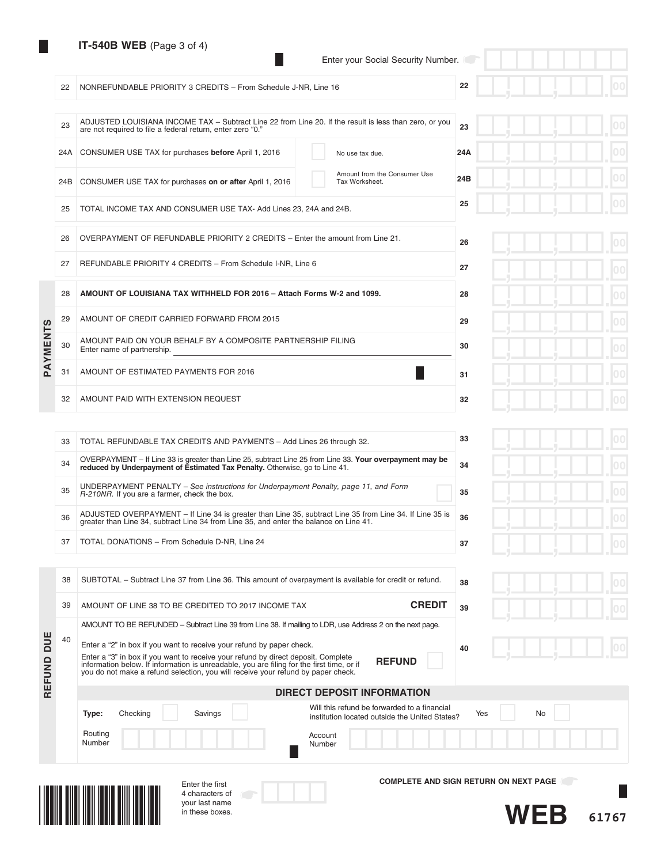|    | $11$ -JHUD WED (Faye J 014)                                    | Enter your Social Security Number. |    |
|----|----------------------------------------------------------------|------------------------------------|----|
| 22 | NONREFUNDABLE PRIORITY 3 CREDITS - From Schedule J-NR, Line 16 |                                    | 22 |

| and the state |  |  |
|---------------|--|--|
|               |  |  |

|          | 23  | ADJUSTED LOUISIANA INCOME TAX - Subtract Line 22 from Line 20. If the result is less than zero, or you<br>are not required to file a federal return, enter zero "0." | 23  |
|----------|-----|----------------------------------------------------------------------------------------------------------------------------------------------------------------------|-----|
|          |     | 24A CONSUMER USE TAX for purchases before April 1, 2016<br>No use tax due.                                                                                           | 24A |
|          | 24B | Amount from the Consumer Use<br>CONSUMER USE TAX for purchases on or after April 1, 2016<br>Tax Worksheet.                                                           | 24B |
|          | 25  | TOTAL INCOME TAX AND CONSUMER USE TAX- Add Lines 23, 24A and 24B.                                                                                                    | 25  |
|          | 26  | OVERPAYMENT OF REFUNDABLE PRIORITY 2 CREDITS - Enter the amount from Line 21.                                                                                        | 26  |
|          | 27  | REFUNDABLE PRIORITY 4 CREDITS - From Schedule I-NR. Line 6                                                                                                           | 27  |
|          | 28  | AMOUNT OF LOUISIANA TAX WITHHELD FOR 2016 - Attach Forms W-2 and 1099.                                                                                               | 28  |
|          | 29  | AMOUNT OF CREDIT CARRIED FORWARD FROM 2015                                                                                                                           | 29  |
| PAYMENTS | 30  | AMOUNT PAID ON YOUR BEHALF BY A COMPOSITE PARTNERSHIP FILING<br>Enter name of partnership.                                                                           | 30  |
|          | 31  | AMOUNT OF ESTIMATED PAYMENTS FOR 2016                                                                                                                                | 31  |
|          | 32  | AMOUNT PAID WITH EXTENSION REQUEST                                                                                                                                   | 32  |

| - 7 - |  | - ال |  | ш                   |
|-------|--|------|--|---------------------|
|       |  |      |  | 0 <sub>0</sub><br>٦ |
|       |  |      |  | 0 <sub>0</sub><br>п |
|       |  |      |  | 00<br>п             |
|       |  |      |  | 0 <sub>0</sub>      |
|       |  |      |  | 0 <sub>0</sub><br>п |
|       |  |      |  | 00<br>г             |
|       |  |      |  | 0 <sub>0</sub>      |

| 33 | TOTAL REFUNDABLE TAX CREDITS AND PAYMENTS - Add Lines 26 through 32.                                                                                                                              | 33 |
|----|---------------------------------------------------------------------------------------------------------------------------------------------------------------------------------------------------|----|
| 34 | OVERPAYMENT - If Line 33 is greater than Line 25, subtract Line 25 from Line 33. Your overpayment may be<br>reduced by Underpayment of Estimated Tax Penalty. Otherwise, go to Line 41.           | 34 |
| 35 | UNDERPAYMENT PENALTY – See instructions for Underpayment Penalty, page 11, and Form<br>R-210NR. If you are a farmer, check the box.                                                               | 35 |
| 36 | ADJUSTED OVERPAYMENT - If Line 34 is greater than Line 35, subtract Line 35 from Line 34. If Line 35 is<br>greater than Line 34, subtract Line 34 from Line 35, and enter the balance on Line 41. | 36 |
| 37 | TOTAL DONATIONS - From Schedule D-NR. Line 24                                                                                                                                                     | 37 |
|    |                                                                                                                                                                                                   |    |

| Ш    |    | <b>DIRECT DEPOSIT INFORMATION</b>                                                                                                                                                                                                                                                   |    |
|------|----|-------------------------------------------------------------------------------------------------------------------------------------------------------------------------------------------------------------------------------------------------------------------------------------|----|
| FUND |    | Enter a "3" in box if you want to receive your refund by direct deposit. Complete<br><b>REFUND</b><br>information below. If information is unreadable, you are filing for the first time, or if<br>you do not make a refund selection, you will receive your refund by paper check. |    |
| DUE  | 40 | AMOUNT TO BE REFUNDED – Subtract Line 39 from Line 38. If mailing to LDR, use Address 2 on the next page.<br>Enter a "2" in box if you want to receive your refund by paper check.                                                                                                  | 40 |
|      | 39 | <b>CREDIT</b><br>AMOUNT OF LINE 38 TO BE CREDITED TO 2017 INCOME TAX                                                                                                                                                                                                                | 39 |
|      | 38 | SUBTOTAL – Subtract Line 37 from Line 36. This amount of overpayment is available for credit or refund.                                                                                                                                                                             | 38 |

Enter the first 4 characters of your last name in these boxes.

|  |  | $\overline{100}$ |
|--|--|------------------|
|  |  | 00<br>m          |

| E | <b>DIRECT DEPOSIT INFORMATION</b> |  |         |  |                                                                                                |  |           |  |  |  |  |
|---|-----------------------------------|--|---------|--|------------------------------------------------------------------------------------------------|--|-----------|--|--|--|--|
|   | Checking<br>Type:                 |  | Savings |  | Will this refund be forwarded to a financial<br>institution located outside the United States? |  | No<br>Yes |  |  |  |  |
|   | Routing<br>Number                 |  |         |  | Account<br><b>Number</b>                                                                       |  |           |  |  |  |  |



37 TOTAL

**COMPLETE AND SIGN RETURN ON NEXT PAGE**



П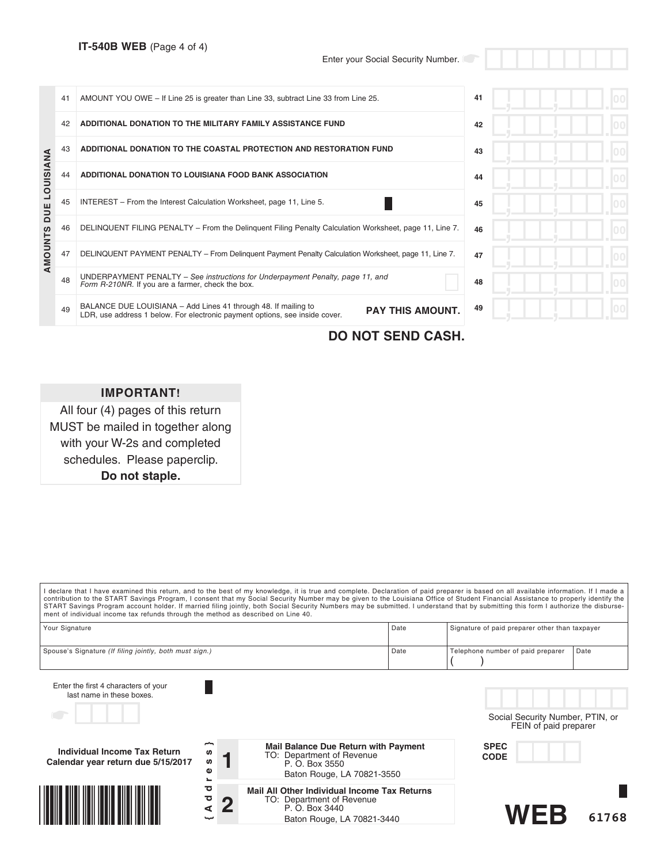|                  | 41 | AMOUNT YOU OWE - If Line 25 is greater than Line 33, subtract Line 33 from Line 25.                                                                                      | 41 |  |
|------------------|----|--------------------------------------------------------------------------------------------------------------------------------------------------------------------------|----|--|
|                  | 42 | ADDITIONAL DONATION TO THE MILITARY FAMILY ASSISTANCE FUND                                                                                                               | 42 |  |
|                  | 43 | ADDITIONAL DONATION TO THE COASTAL PROTECTION AND RESTORATION FUND                                                                                                       | 43 |  |
| <b>LOUISIANA</b> | 44 | ADDITIONAL DONATION TO LOUISIANA FOOD BANK ASSOCIATION                                                                                                                   | 44 |  |
| DUE              | 45 | INTEREST – From the Interest Calculation Worksheet, page 11, Line 5.                                                                                                     | 45 |  |
|                  | 46 | DELINQUENT FILING PENALTY – From the Delinguent Filing Penalty Calculation Worksheet, page 11, Line 7.                                                                   | 46 |  |
| AMOUNTS          | 47 | DELINQUENT PAYMENT PENALTY – From Delinguent Payment Penalty Calculation Worksheet, page 11, Line 7.                                                                     | 47 |  |
|                  | 48 | UNDERPAYMENT PENALTY - See instructions for Underpayment Penalty, page 11, and<br>Form R-210NR. If you are a farmer, check the box.                                      | 48 |  |
|                  | 49 | BALANCE DUE LOUISIANA - Add Lines 41 through 48. If mailing to<br><b>PAY THIS AMOUNT.</b><br>LDR, use address 1 below. For electronic payment options, see inside cover. | 49 |  |

**DO NOT SEND CASH.**

## **IMPORTANT!**

All four (4) pages of this return MUST be mailed in together along with your W-2s and completed schedules. Please paperclip. **Do not staple.**

| ment of individual income tax refunds through the method as described on Line 40. |             |                                                                                                                                  | I declare that I have examined this return, and to the best of my knowledge, it is true and complete. Declaration of paid preparer is based on all available information. If I made a<br>contribution to the START Savings Program, I consent that my Social Security Number may be given to the Louisiana Office of Student Financial Assistance to properly identify the<br>START Savings Program account holder. If married filing jointly, both Social Security Numbers may be submitted. I understand that by submitting this form I authorize the disburse- |
|-----------------------------------------------------------------------------------|-------------|----------------------------------------------------------------------------------------------------------------------------------|-------------------------------------------------------------------------------------------------------------------------------------------------------------------------------------------------------------------------------------------------------------------------------------------------------------------------------------------------------------------------------------------------------------------------------------------------------------------------------------------------------------------------------------------------------------------|
| Your Signature                                                                    |             | Date                                                                                                                             | Signature of paid preparer other than taxpayer                                                                                                                                                                                                                                                                                                                                                                                                                                                                                                                    |
| Spouse's Signature (If filing jointly, both must sign.)                           |             | Date                                                                                                                             | Telephone number of paid preparer<br>Date                                                                                                                                                                                                                                                                                                                                                                                                                                                                                                                         |
| Enter the first 4 characters of your<br>last name in these boxes.                 |             |                                                                                                                                  | Social Security Number, PTIN, or<br>FEIN of paid preparer                                                                                                                                                                                                                                                                                                                                                                                                                                                                                                         |
| Individual Income Tax Return<br>Calendar year return due 5/15/2017                | S<br>w<br>Φ | Mail Balance Due Return with Payment<br>TO: Department of Revenue<br>P. O. Box 3550<br>Baton Rouge, LA 70821-3550                | <b>SPEC</b><br><b>CODE</b>                                                                                                                                                                                                                                                                                                                                                                                                                                                                                                                                        |
|                                                                                   | ਹ<br>ठ<br>⋖ | <b>Mail All Other Individual Income Tax Returns</b><br>TO: Department of Revenue<br>P. O. Box 3440<br>Baton Rouge, LA 70821-3440 | $M \vdash \vdash$<br>61768                                                                                                                                                                                                                                                                                                                                                                                                                                                                                                                                        |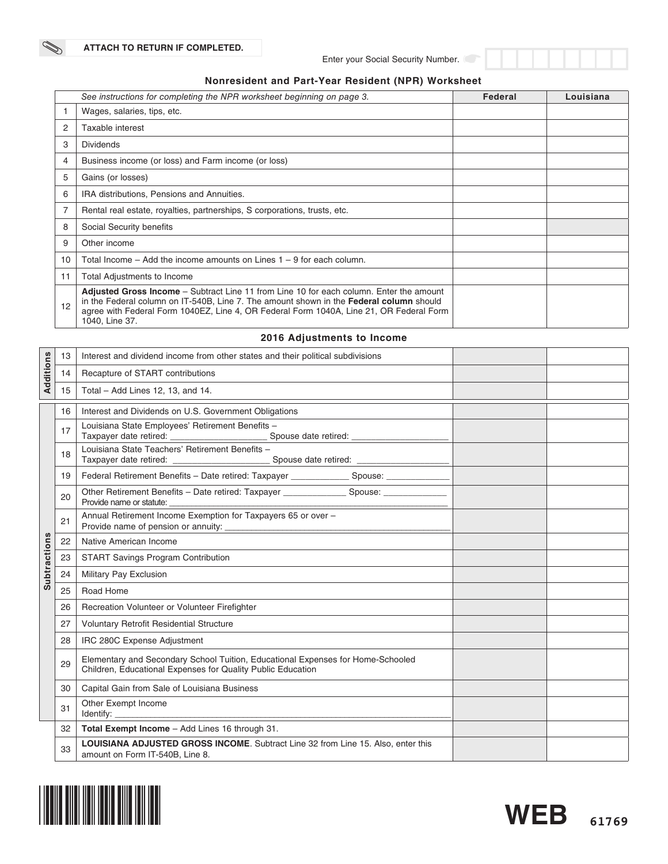### **Nonresident and Part-Year Resident (NPR) Worksheet**

|    | See instructions for completing the NPR worksheet beginning on page 3.                                                                                                                                                                                                                                        | Federal | Louisiana |
|----|---------------------------------------------------------------------------------------------------------------------------------------------------------------------------------------------------------------------------------------------------------------------------------------------------------------|---------|-----------|
|    | Wages, salaries, tips, etc.                                                                                                                                                                                                                                                                                   |         |           |
| 2  | Taxable interest                                                                                                                                                                                                                                                                                              |         |           |
| 3  | <b>Dividends</b>                                                                                                                                                                                                                                                                                              |         |           |
| 4  | Business income (or loss) and Farm income (or loss)                                                                                                                                                                                                                                                           |         |           |
| 5  | Gains (or losses)                                                                                                                                                                                                                                                                                             |         |           |
| 6  | IRA distributions, Pensions and Annuities.                                                                                                                                                                                                                                                                    |         |           |
| 7  | Rental real estate, royalties, partnerships, S corporations, trusts, etc.                                                                                                                                                                                                                                     |         |           |
| 8  | Social Security benefits                                                                                                                                                                                                                                                                                      |         |           |
| 9  | Other income                                                                                                                                                                                                                                                                                                  |         |           |
| 10 | Total Income – Add the income amounts on Lines $1 - 9$ for each column.                                                                                                                                                                                                                                       |         |           |
| 11 | Total Adjustments to Income                                                                                                                                                                                                                                                                                   |         |           |
| 12 | <b>Adjusted Gross Income</b> – Subtract Line 11 from Line 10 for each column. Enter the amount<br>in the Federal column on IT-540B, Line 7. The amount shown in the <b>Federal column</b> should<br>agree with Federal Form 1040EZ, Line 4, OR Federal Form 1040A, Line 21, OR Federal Form<br>1040, Line 37. |         |           |

### **2016 Adjustments to Income**

| Additions           | 13 | Interest and dividend income from other states and their political subdivisions                                                                |  |
|---------------------|----|------------------------------------------------------------------------------------------------------------------------------------------------|--|
|                     | 14 | Recapture of START contributions                                                                                                               |  |
|                     | 15 | Total - Add Lines 12, 13, and 14.                                                                                                              |  |
|                     | 16 | Interest and Dividends on U.S. Government Obligations                                                                                          |  |
|                     | 17 | Louisiana State Employees' Retirement Benefits -                                                                                               |  |
|                     | 18 | Louisiana State Teachers' Retirement Benefits -                                                                                                |  |
|                     | 19 | Tederal Retirement Benefits - Date retired: Taxpayer ________________ Spouse: _____________________                                            |  |
|                     | 20 | Other Retirement Benefits - Date retired: Taxpayer _________________ Spouse: ______________<br>Provide name or statute:                        |  |
|                     | 21 | Annual Retirement Income Exemption for Taxpayers 65 or over -                                                                                  |  |
|                     | 22 | Native American Income                                                                                                                         |  |
|                     | 23 | <b>START Savings Program Contribution</b>                                                                                                      |  |
| <b>Subtractions</b> | 24 | Military Pay Exclusion                                                                                                                         |  |
|                     | 25 | Road Home                                                                                                                                      |  |
|                     | 26 | Recreation Volunteer or Volunteer Firefighter                                                                                                  |  |
|                     | 27 | Voluntary Retrofit Residential Structure                                                                                                       |  |
|                     | 28 | IRC 280C Expense Adjustment                                                                                                                    |  |
|                     | 29 | Elementary and Secondary School Tuition, Educational Expenses for Home-Schooled<br>Children, Educational Expenses for Quality Public Education |  |
|                     | 30 | Capital Gain from Sale of Louisiana Business                                                                                                   |  |
|                     | 31 | Other Exempt Income                                                                                                                            |  |
|                     | 32 | Total Exempt Income - Add Lines 16 through 31.                                                                                                 |  |
|                     | 33 | LOUISIANA ADJUSTED GROSS INCOME. Subtract Line 32 from Line 15. Also, enter this<br>amount on Form IT-540B, Line 8.                            |  |



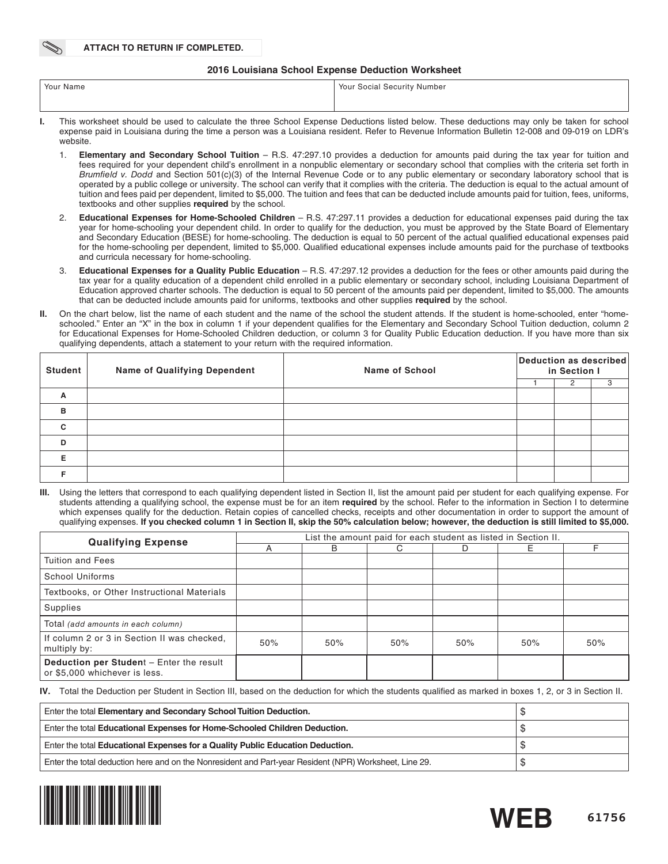#### **2016 Louisiana School Expense Deduction Worksheet**

| Your Name | Your Social Security Number                                                                                                                |
|-----------|--------------------------------------------------------------------------------------------------------------------------------------------|
|           |                                                                                                                                            |
|           | This worksheet should be used to calculate the three School Expense Deductions listed below. These deductions may only be taken for school |

- ed to calculate the three School Expense Deductions listed below. expense paid in Louisiana during the time a person was a Louisiana resident. Refer to Revenue Information Bulletin 12-008 and 09-019 on LDR's website.
	- 1. **Elementary and Secondary School Tuition** R.S. 47:297.10 provides a deduction for amounts paid during the tax year for tuition and fees required for your dependent child's enrollment in a nonpublic elementary or secondary school that complies with the criteria set forth in *Brumfield v. Dodd* and Section 501(c)(3) of the Internal Revenue Code or to any public elementary or secondary laboratory school that is operated by a public college or university. The school can verify that it complies with the criteria. The deduction is equal to the actual amount of tuition and fees paid per dependent, limited to \$5,000. The tuition and fees that can be deducted include amounts paid for tuition, fees, uniforms, textbooks and other supplies **required** by the school.
	- 2. **Educational Expenses for Home-Schooled Children** R.S. 47:297.11 provides a deduction for educational expenses paid during the tax year for home-schooling your dependent child. In order to qualify for the deduction, you must be approved by the State Board of Elementary and Secondary Education (BESE) for home-schooling. The deduction is equal to 50 percent of the actual qualified educational expenses paid for the home-schooling per dependent, limited to \$5,000. Qualified educational expenses include amounts paid for the purchase of textbooks and curricula necessary for home-schooling.
	- 3. **Educational Expenses for a Quality Public Education** R.S. 47:297.12 provides a deduction for the fees or other amounts paid during the tax year for a quality education of a dependent child enrolled in a public elementary or secondary school, including Louisiana Department of Education approved charter schools. The deduction is equal to 50 percent of the amounts paid per dependent, limited to \$5,000. The amounts that can be deducted include amounts paid for uniforms, textbooks and other supplies **required** by the school.
- **II.** On the chart below, list the name of each student and the name of the school the student attends. If the student is home-schooled, enter "homeschooled." Enter an "X" in the box in column 1 if your dependent qualifies for the Elementary and Secondary School Tuition deduction, column 2 for Educational Expenses for Home-Schooled Children deduction, or column 3 for Quality Public Education deduction. If you have more than six qualifying dependents, attach a statement to your return with the required information.

| <b>Student</b> | <b>Name of Qualifying Dependent</b> | <b>Name of School</b> | Deduction as described<br>in Section I |   |  |  |  |
|----------------|-------------------------------------|-----------------------|----------------------------------------|---|--|--|--|
|                |                                     |                       |                                        | 2 |  |  |  |
| A              |                                     |                       |                                        |   |  |  |  |
| в              |                                     |                       |                                        |   |  |  |  |
| C              |                                     |                       |                                        |   |  |  |  |
| D              |                                     |                       |                                        |   |  |  |  |
| Е              |                                     |                       |                                        |   |  |  |  |
|                |                                     |                       |                                        |   |  |  |  |

Using the letters that correspond to each qualifying dependent listed in Section II, list the amount paid per student for each qualifying expense. For students attending a qualifying school, the expense must be for an item **required** by the school. Refer to the information in Section I to determine which expenses qualify for the deduction. Retain copies of cancelled checks, receipts and other documentation in order to support the amount of qualifying expenses. **If you checked column 1 in Section II, skip the 50% calculation below; however, the deduction is still limited to \$5,000.**

| <b>Qualifying Expense</b>                                                 | List the amount paid for each student as listed in Section II. |     |     |     |     |     |  |  |  |
|---------------------------------------------------------------------------|----------------------------------------------------------------|-----|-----|-----|-----|-----|--|--|--|
|                                                                           |                                                                | B   | C.  | D   | F.  |     |  |  |  |
| Tuition and Fees                                                          |                                                                |     |     |     |     |     |  |  |  |
| School Uniforms                                                           |                                                                |     |     |     |     |     |  |  |  |
| Textbooks, or Other Instructional Materials                               |                                                                |     |     |     |     |     |  |  |  |
| Supplies                                                                  |                                                                |     |     |     |     |     |  |  |  |
| Total (add amounts in each column)                                        |                                                                |     |     |     |     |     |  |  |  |
| If column 2 or 3 in Section II was checked,<br>multiply by:               | 50%                                                            | 50% | 50% | 50% | 50% | 50% |  |  |  |
| Deduction per Student - Enter the result<br>or \$5,000 whichever is less. |                                                                |     |     |     |     |     |  |  |  |

**IV.** Total the Deduction per Student in Section III, based on the deduction for which the students qualified as marked in boxes 1, 2, or 3 in Section II.

| Enter the total Elementary and Secondary School Tuition Deduction.                                     | AD. |
|--------------------------------------------------------------------------------------------------------|-----|
| Enter the total Educational Expenses for Home-Schooled Children Deduction.                             |     |
| Enter the total Educational Expenses for a Quality Public Education Deduction.                         | ۰D  |
| Enter the total deduction here and on the Nonresident and Part-year Resident (NPR) Worksheet, Line 29. |     |

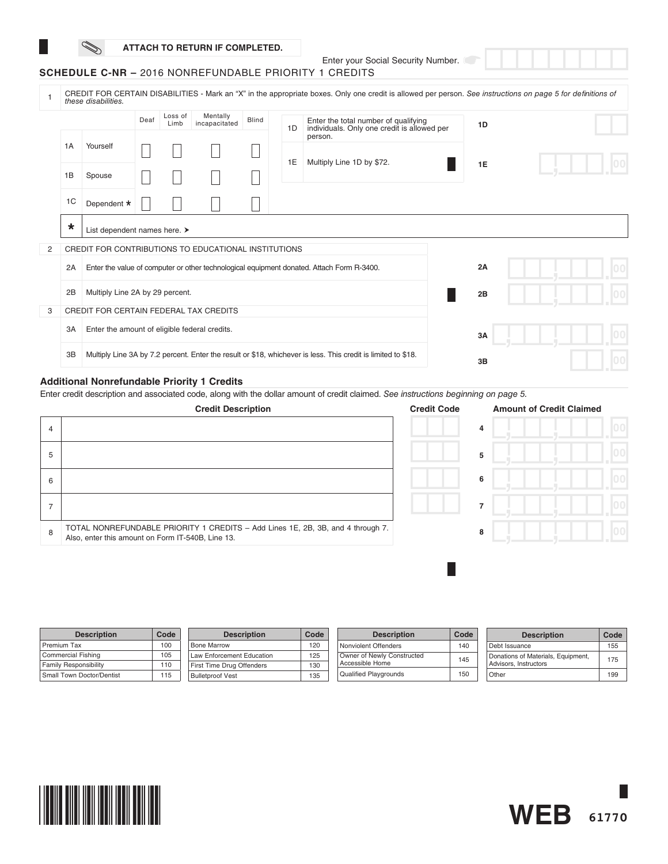### **ATTACH TO RETURN IF COMPLETED.**

Enter your Social Security Number.

|  |  | <b>SCHEDULE C-NR –</b> 2016 NONREFUNDABLE PRIORITY 1 CREDITS |  |  |
|--|--|--------------------------------------------------------------|--|--|
|--|--|--------------------------------------------------------------|--|--|

|   | CREDIT FOR CERTAIN DISABILITIES - Mark an "X" in the appropriate boxes. Only one credit is allowed per person. See instructions on page 5 for definitions of<br>these disabilities. |                                                      |      |                 |                           |                                                                                                               |    |                                                                                     |  |    |  |  |  |
|---|-------------------------------------------------------------------------------------------------------------------------------------------------------------------------------------|------------------------------------------------------|------|-----------------|---------------------------|---------------------------------------------------------------------------------------------------------------|----|-------------------------------------------------------------------------------------|--|----|--|--|--|
|   |                                                                                                                                                                                     |                                                      | Deaf | Loss of<br>Limb | Mentally<br>incapacitated | <b>Blind</b>                                                                                                  | 1D | Enter the total number of qualifying<br>individuals. Only one credit is allowed per |  | 1D |  |  |  |
|   | 1A                                                                                                                                                                                  | Yourself                                             |      |                 |                           |                                                                                                               |    | person.<br>Multiply Line 1D by \$72.                                                |  |    |  |  |  |
|   | 1B                                                                                                                                                                                  | Spouse                                               |      |                 |                           |                                                                                                               | 1E |                                                                                     |  | 1E |  |  |  |
|   | 1C                                                                                                                                                                                  | Dependent *                                          |      |                 |                           |                                                                                                               |    |                                                                                     |  |    |  |  |  |
|   | $\star$                                                                                                                                                                             | List dependent names here. >                         |      |                 |                           |                                                                                                               |    |                                                                                     |  |    |  |  |  |
| 2 |                                                                                                                                                                                     | CREDIT FOR CONTRIBUTIONS TO EDUCATIONAL INSTITUTIONS |      |                 |                           |                                                                                                               |    |                                                                                     |  |    |  |  |  |
|   | 2A                                                                                                                                                                                  |                                                      |      |                 |                           | Enter the value of computer or other technological equipment donated. Attach Form R-3400.                     |    | 2A                                                                                  |  |    |  |  |  |
|   | 2B                                                                                                                                                                                  | Multiply Line 2A by 29 percent.                      |      |                 |                           |                                                                                                               |    | 2B                                                                                  |  |    |  |  |  |
| 3 |                                                                                                                                                                                     | CREDIT FOR CERTAIN FEDERAL TAX CREDITS               |      |                 |                           |                                                                                                               |    |                                                                                     |  |    |  |  |  |
|   | 3A                                                                                                                                                                                  | Enter the amount of eligible federal credits.        |      |                 |                           |                                                                                                               |    | 3A                                                                                  |  |    |  |  |  |
|   | 3B                                                                                                                                                                                  |                                                      |      |                 |                           | Multiply Line 3A by 7.2 percent. Enter the result or \$18, whichever is less. This credit is limited to \$18. |    | 3B                                                                                  |  |    |  |  |  |

# **Additional Nonrefundable Priority 1 Credits**

Enter credit description and associated code, along with the dollar amount of credit claimed. *See instructions beginning on page 5.*

|   | <b>Credit Description</b>                                                                                                            | <b>Credit Code</b> | <b>Amount of Credit Claimed</b> |  |
|---|--------------------------------------------------------------------------------------------------------------------------------------|--------------------|---------------------------------|--|
| 4 |                                                                                                                                      |                    | 4                               |  |
| 5 |                                                                                                                                      |                    | 5                               |  |
| 6 |                                                                                                                                      |                    | 6                               |  |
|   |                                                                                                                                      |                    | ۰,                              |  |
| 8 | TOTAL NONREFUNDABLE PRIORITY 1 CREDITS - Add Lines 1E, 2B, 3B, and 4 through 7.<br>Also, enter this amount on Form IT-540B, Line 13. |                    | 8                               |  |
|   |                                                                                                                                      |                    |                                 |  |

| <b>Description</b>           | Code | <b>Description</b>               | Code | <b>Description</b>           | Code | <b>Description</b>                 | Code |
|------------------------------|------|----------------------------------|------|------------------------------|------|------------------------------------|------|
| Premium Tax                  | 100  | <b>Bone Marrow</b>               | 120  | Nonviolent Offenders         | 140  | Debt Issuance                      | 155  |
| Commercial Fishing           | 105  | <b>Law Enforcement Education</b> | 125  | Owner of Newly Constructed   | 145  | Donations of Materials, Equipment, | 175  |
| <b>Family Responsibility</b> | 110  | First Time Drug Offenders        | 130  | Accessible Home              |      | Advisors, Instructors              |      |
| Small Town Doctor/Dentist    | 115  | <b>Bulletproof Vest</b>          | 135  | <b>Qualified Playgrounds</b> | 150  | Other                              | 199  |



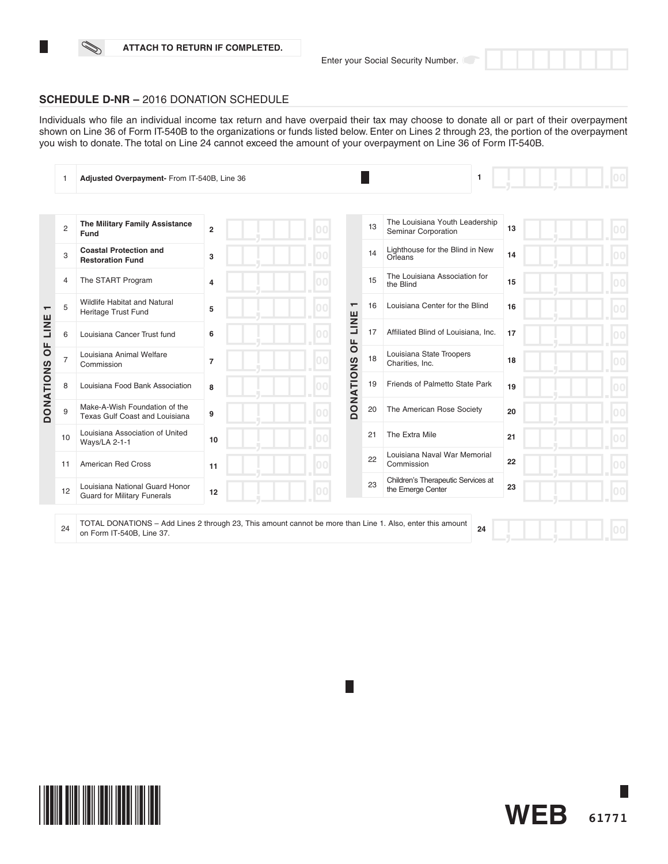#### **ATTACH TO RETURN IF COMPLETED.**



Individuals who file an individual income tax return and have overpaid their tax may choose to donate all or part of their overpayment shown on Line 36 of Form IT-540B to the organizations or funds listed below. Enter on Lines 2 through 23, the portion of the overpayment you wish to donate. The total on Line 24 cannot exceed the amount of your overpayment on Line 36 of Form IT-540B.

|                                  | 1              | Adjusted Overpayment- From IT-540B, Line 36                          |                |    |                          |    | 1                                                       |    |  |
|----------------------------------|----------------|----------------------------------------------------------------------|----------------|----|--------------------------|----|---------------------------------------------------------|----|--|
|                                  |                |                                                                      |                |    |                          |    |                                                         |    |  |
|                                  | $\overline{c}$ | The Military Family Assistance<br>Fund                               | $\overline{2}$ |    |                          | 13 | The Louisiana Youth Leadership<br>Seminar Corporation   | 13 |  |
|                                  | 3              | <b>Coastal Protection and</b><br><b>Restoration Fund</b>             | 3              | nn |                          | 14 | Lighthouse for the Blind in New<br>Orleans              | 14 |  |
|                                  | 4              | The START Program                                                    | $\overline{4}$ |    |                          | 15 | The Louisiana Association for<br>the Blind              | 15 |  |
| $\overline{\phantom{0}}$<br>LINE | 5              | <b>Wildlife Habitat and Natural</b><br>Heritage Trust Fund           | 5              |    | $\overline{\phantom{0}}$ | 16 | Louisiana Center for the Blind                          | 16 |  |
|                                  | 6              | Louisiana Cancer Trust fund                                          | 6              |    | LINE<br>ЪP               | 17 | Affiliated Blind of Louisiana, Inc.                     | 17 |  |
| ЪP                               | $\overline{7}$ | Louisiana Animal Welfare<br>Commission                               | $\overline{7}$ |    |                          | 18 | Louisiana State Troopers<br>Charities, Inc.             | 18 |  |
| <b>DONATIONS</b>                 | 8              | Louisiana Food Bank Association                                      | 8              |    | <b>DONATIONS</b>         | 19 | Friends of Palmetto State Park                          | 19 |  |
|                                  | 9              | Make-A-Wish Foundation of the<br>Texas Gulf Coast and Louisiana      | 9              |    |                          | 20 | The American Rose Society                               | 20 |  |
|                                  | 10             | Louisiana Association of United<br>Ways/LA 2-1-1                     | 10             |    |                          | 21 | The Extra Mile                                          | 21 |  |
|                                  | 11             | American Red Cross                                                   | 11             |    |                          | 22 | Louisiana Naval War Memorial<br>Commission              | 22 |  |
|                                  | 12             | Louisiana National Guard Honor<br><b>Guard for Military Funerals</b> | 12             |    |                          | 23 | Children's Therapeutic Services at<br>the Emerge Center | 23 |  |
|                                  |                |                                                                      |                |    |                          |    |                                                         |    |  |

24 TOTAL DONATIONS – Add Lines 2 through 23, This amount cannot be more than Line 1. Also, enter this amount on Form IT-540B, Line 37. **24**

**61771**

**WEB**

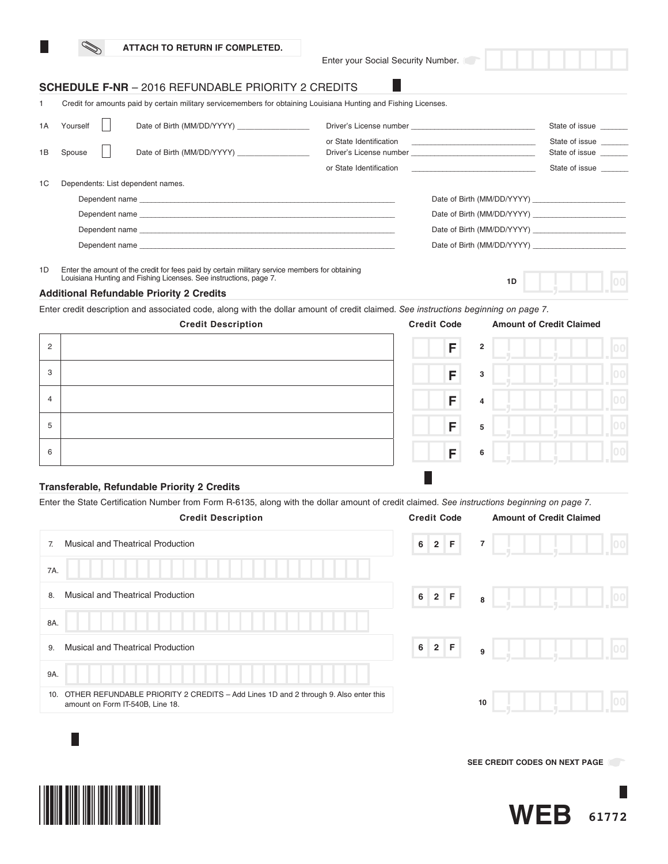|  |  | ATTACH TO RETURN IF COMPLETED. |
|--|--|--------------------------------|
|--|--|--------------------------------|

Enter your Social Security Number.

### **SCHEDULE F-NR** – 2016 REFUNDABLE PRIORITY 2 CREDITS

1 Credit for amounts paid by certain military servicemembers for obtaining Louisiana Hunting and Fishing Licenses.

| 1A | Yourself | Date of Birth (MM/DD/YYYY)                                                                                                                                                                                                    |                         |                            | State of issue                   |  |  |
|----|----------|-------------------------------------------------------------------------------------------------------------------------------------------------------------------------------------------------------------------------------|-------------------------|----------------------------|----------------------------------|--|--|
| 1B | Spouse   | Date of Birth (MM/DD/YYYY)                                                                                                                                                                                                    | or State Identification |                            | State of issue<br>State of issue |  |  |
|    |          |                                                                                                                                                                                                                               | or State Identification |                            | State of issue                   |  |  |
| 1C |          | Dependents: List dependent names.                                                                                                                                                                                             |                         |                            |                                  |  |  |
|    |          |                                                                                                                                                                                                                               |                         |                            |                                  |  |  |
|    |          | Dependent name experience and the control of the control of the control of the control of the control of the control of the control of the control of the control of the control of the control of the control of the control |                         |                            |                                  |  |  |
|    |          | Dependent name experience and the control of the control of the control of the control of the control of the control of the control of the control of the control of the control of the control of the control of the control |                         | Date of Birth (MM/DD/YYYY) |                                  |  |  |
|    |          |                                                                                                                                                                                                                               |                         |                            |                                  |  |  |
|    |          |                                                                                                                                                                                                                               |                         |                            |                                  |  |  |

1D Enter the amount of the credit for fees paid by certain military service members for obtaining Louisiana Hunting and Fishing Licenses. See instructions, page 7.

#### **Additional Refundable Priority 2 Credits**

Enter credit description and associated code, along with the dollar amount of credit claimed. *See instructions beginning on page 7.*

|                | <b>Credit Description</b> | <b>Credit Code</b>  | <b>Amount of Credit Claimed</b> |  |
|----------------|---------------------------|---------------------|---------------------------------|--|
| $\overline{2}$ |                           | F<br>$\overline{2}$ |                                 |  |
| 3              |                           | F<br>3              |                                 |  |
| $\overline{4}$ |                           | F<br>$\overline{4}$ |                                 |  |
| 5              |                           | F<br>5              |                                 |  |
| 6              |                           | F<br>6              |                                 |  |
|                |                           |                     |                                 |  |

#### **Transferable, Refundable Priority 2 Credits**

Enter the State Certification Number from Form R-6135, along with the dollar amount of credit claimed. *See instructions beginning on page 7.*

| <b>Credit Description</b>                                                                                                      | <b>Credit Code</b>            | <b>Amount of Credit Claimed</b> |
|--------------------------------------------------------------------------------------------------------------------------------|-------------------------------|---------------------------------|
| <b>Musical and Theatrical Production</b><br>7.                                                                                 | 2 F<br>6                      | $\overline{\mathbf{r}}$<br> 00  |
| 7A.                                                                                                                            |                               |                                 |
| <b>Musical and Theatrical Production</b><br>8.                                                                                 | $2 \mid F$<br>$6\overline{6}$ | 8                               |
| 8A.                                                                                                                            |                               |                                 |
| <b>Musical and Theatrical Production</b><br>9.                                                                                 | $2 \mid F$<br>6 <sup>1</sup>  | 9                               |
| 9A.                                                                                                                            |                               |                                 |
| OTHER REFUNDABLE PRIORITY 2 CREDITS - Add Lines 1D and 2 through 9. Also enter this<br>10.<br>amount on Form IT-540B, Line 18. |                               | 10                              |
|                                                                                                                                |                               |                                 |

**SEE CREDIT CODES ON NEXT PAGE** 





**1D**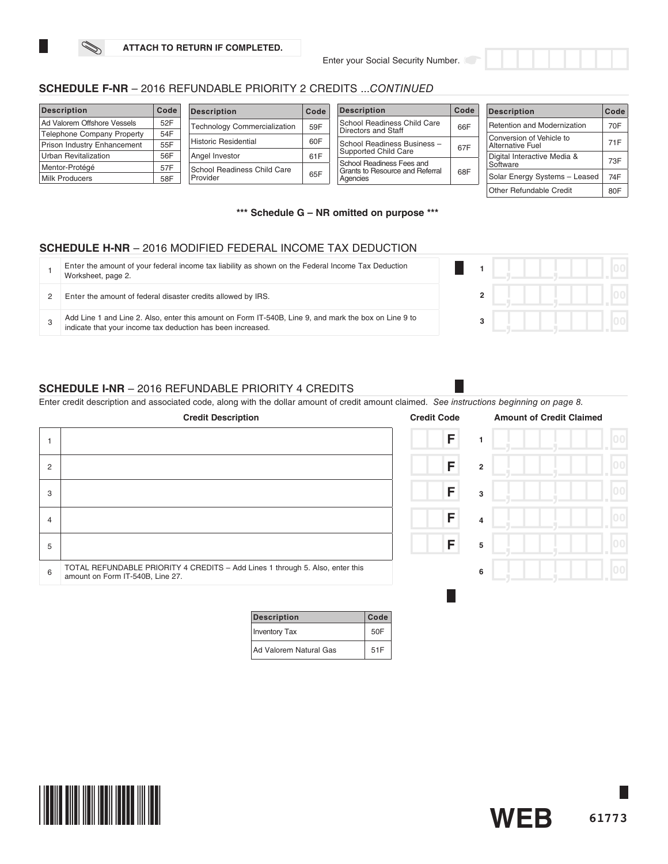### **SCHEDULE F-NR** – 2016 REFUNDABLE PRIORITY 2 CREDITS ...*CONTINUED*

| <b>Description</b>                | Code | <b>Description</b>                                                | Code                             | <b>Description</b>                          | Code             | <b>Description</b>            | Code                        |     |
|-----------------------------------|------|-------------------------------------------------------------------|----------------------------------|---------------------------------------------|------------------|-------------------------------|-----------------------------|-----|
| Ad Valorem Offshore Vessels       | 52F  | <b>Technology Commercialization</b>                               | 59F                              | School Readiness Child Care                 | 66F              | Retention and Modernization   | 70F                         |     |
| <b>Telephone Company Property</b> | 54F  |                                                                   |                                  | Directors and Staff                         |                  | Conversion of Vehicle to      |                             |     |
| Prison Industry Enhancement       | 55F  | <b>Historic Residential</b><br>60F<br>School Readiness Business - |                                  | 67F                                         | Alternative Fuel | 71F                           |                             |     |
| <b>Urban Revitalization</b>       | 56F  | Angel Investor                                                    | 61F<br>School Readiness Fees and | Supported Child Care                        |                  |                               | Digital Interactive Media & | 73F |
| Mentor-Protégé                    | 57F  | School Readiness Child Care                                       |                                  |                                             |                  | Software                      |                             |     |
| <b>Milk Producers</b>             | 58F  | Provider                                                          | 65F                              | Grants to Resource and Referral<br>Agencies | 68F              | Solar Energy Systems - Leased | 74F                         |     |
|                                   |      |                                                                   |                                  |                                             |                  | Other Refundable Credit       | 80F                         |     |

**\*\*\* Schedule G – NR omitted on purpose \*\*\***

### **SCHEDULE H-NR** – 2016 MODIFIED FEDERAL INCOME TAX DEDUCTION

| Enter the amount of your federal income tax liability as shown on the Federal Income Tax Deduction<br>Worksheet, page 2.                                             |  |  |  |
|----------------------------------------------------------------------------------------------------------------------------------------------------------------------|--|--|--|
| Enter the amount of federal disaster credits allowed by IRS.                                                                                                         |  |  |  |
| Add Line 1 and Line 2. Also, enter this amount on Form IT-540B, Line 9, and mark the box on Line 9 to<br>indicate that your income tax deduction has been increased. |  |  |  |

### **SCHEDULE I-NR** – 2016 REFUNDABLE PRIORITY 4 CREDITS

Enter credit description and associated code, along with the dollar amount of credit amount claimed. *See instructions beginning on page 8.*

|                | <b>Credit Description</b>                                                                                         | <b>Credit Code</b>  | <b>Amount of Credit Claimed</b> |
|----------------|-------------------------------------------------------------------------------------------------------------------|---------------------|---------------------------------|
|                |                                                                                                                   | F                   |                                 |
| $\overline{2}$ |                                                                                                                   | F<br>$\overline{2}$ |                                 |
| 3              |                                                                                                                   | F<br>3              |                                 |
| 4              |                                                                                                                   | F<br>$\overline{4}$ |                                 |
| 5              |                                                                                                                   | F<br>5              |                                 |
| 6              | TOTAL REFUNDABLE PRIORITY 4 CREDITS - Add Lines 1 through 5. Also, enter this<br>amount on Form IT-540B, Line 27. | 6                   |                                 |
|                |                                                                                                                   |                     |                                 |

| <b>Description</b>            | Code |
|-------------------------------|------|
| Inventory Tax                 | 50F  |
| <b>Ad Valorem Natural Gas</b> | 51F  |



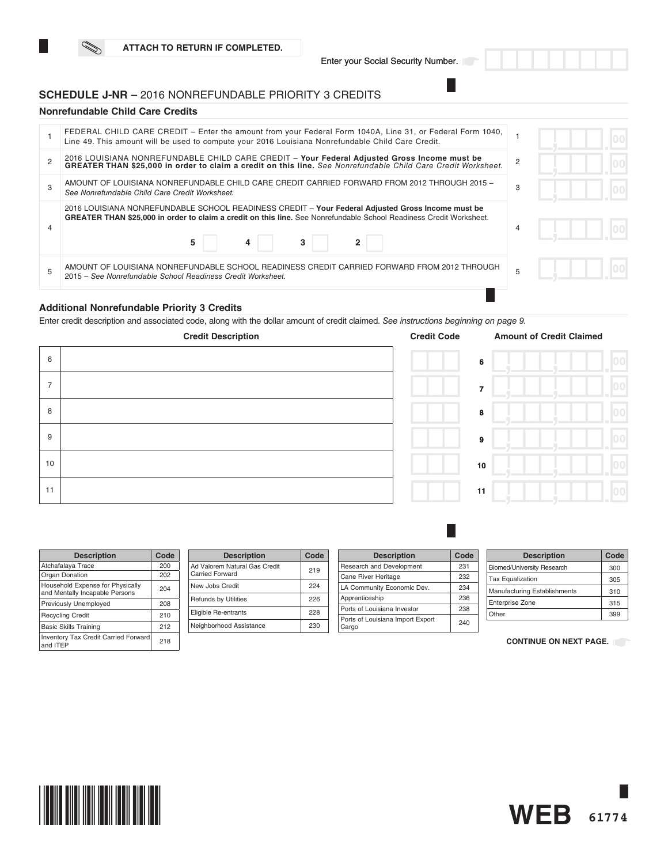### **SCHEDULE J-NR –** 2016 NONREFUNDABLE PRIORITY 3 CREDITS

### **Nonrefundable Child Care Credits**

| FEDERAL CHILD CARE CREDIT - Enter the amount from your Federal Form 1040A, Line 31, or Federal Form 1040,<br>Line 49. This amount will be used to compute your 2016 Louisiana Nonrefundable Child Care Credit.                     |   |  |  |
|------------------------------------------------------------------------------------------------------------------------------------------------------------------------------------------------------------------------------------|---|--|--|
| 2016 LOUISIANA NONREFUNDABLE CHILD CARE CREDIT - Your Federal Adjusted Gross Income must be<br>GREATER THAN \$25,000 in order to claim a credit on this line. See Nonrefundable Child Care Credit Worksheet.                       |   |  |  |
| AMOUNT OF LOUISIANA NONREFUNDABLE CHILD CARE CREDIT CARRIED FORWARD FROM 2012 THROUGH 2015 -<br>See Nonrefundable Child Care Credit Worksheet.                                                                                     | 3 |  |  |
| 2016 LOUISIANA NONREFUNDABLE SCHOOL READINESS CREDIT - Your Federal Adjusted Gross Income must be<br>GREATER THAN \$25,000 in order to claim a credit on this line. See Nonrefundable School Readiness Credit Worksheet.<br>5<br>3 |   |  |  |
| AMOUNT OF LOUISIANA NONREFUNDABLE SCHOOL READINESS CREDIT CARRIED FORWARD FROM 2012 THROUGH<br>2015 – See Nonrefundable School Readiness Credit Worksheet.                                                                         |   |  |  |
|                                                                                                                                                                                                                                    |   |  |  |

### **Additional Nonrefundable Priority 3 Credits**

Enter credit description and associated code, along with the dollar amount of credit claimed. *See instructions beginning on page 9.* 

|                | <b>Credit Description</b> | <b>Credit Code</b> | <b>Amount of Credit Claimed</b> |              |
|----------------|---------------------------|--------------------|---------------------------------|--------------|
| 6              |                           |                    | 6                               | 00           |
| $\overline{7}$ |                           |                    | $\overline{7}$                  | $ 00\rangle$ |
| 8              |                           |                    | 8                               | 00           |
| 9              |                           |                    | $\overline{9}$                  | $ 00\rangle$ |
| 10             |                           |                    | 10                              | $ 00\rangle$ |
| 11             |                           |                    | 11                              | 00           |

| <b>Description</b>                                                 | Code |
|--------------------------------------------------------------------|------|
| Atchafalaya Trace                                                  | 200  |
| Organ Donation                                                     | 202  |
| Household Expense for Physically<br>and Mentally Incapable Persons | 204  |
| Previously Unemployed                                              | 208  |
| <b>Recycling Credit</b>                                            | 210  |
| <b>Basic Skills Training</b>                                       | 212  |
| <b>Inventory Tax Credit Carried Forward</b><br>and ITEP            | 218  |

| <b>Description</b>                               | Code |
|--------------------------------------------------|------|
| Ad Valorem Natural Gas Credit<br>Carried Forward | 219  |
| New Jobs Credit                                  | 224  |
| <b>Refunds by Utilities</b>                      | 226  |
| Eligible Re-entrants                             | 228  |
| Neighborhood Assistance                          | 230  |

| <b>Description</b>                        | Code |
|-------------------------------------------|------|
| Research and Development                  | 231  |
| Cane River Heritage                       | 232  |
| LA Community Economic Dev.                | 234  |
| Apprenticeship                            | 236  |
| Ports of Louisiana Investor               | 238  |
| Ports of Louisiana Import Export<br>Cargo | 240  |

П

| <b>Description</b>                | Code |
|-----------------------------------|------|
| <b>Biomed/University Research</b> | 300  |
| <b>Tax Equalization</b>           | 305  |
| Manufacturing Establishments      | 310  |
| <b>Enterprise Zone</b>            | 315  |
| Other                             | 399  |

### **CONTINUE ON NEXT PAGE.**



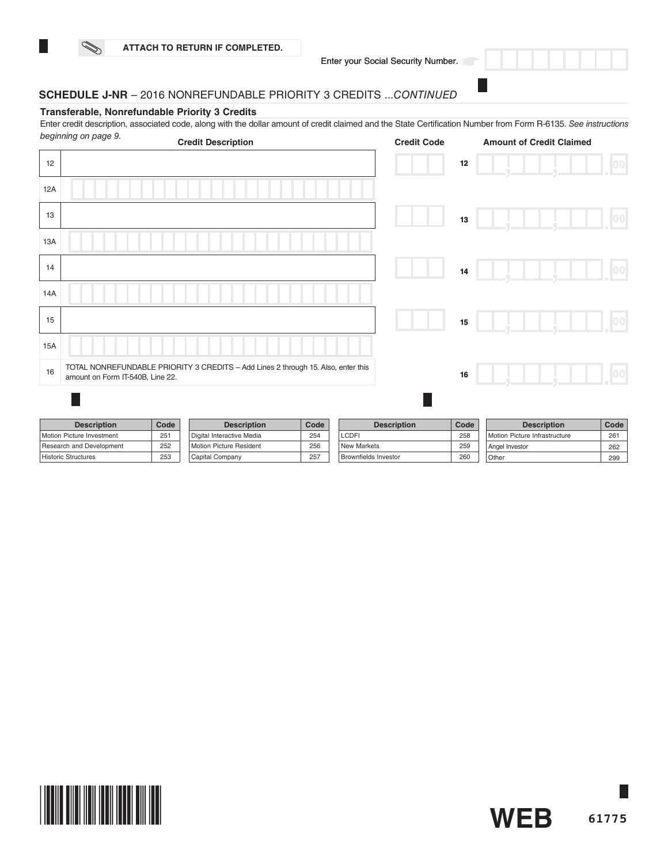

**61775**

**WEB**

Other 299

### **SCHEDULE J-NR** – 2016 NONREFUNDABLE PRIORITY 3 CREDITS ...*CONTINUED*

Capital Company 257

#### **Transferable, Nonrefundable Priority 3 Credits**

Enter credit description, associated code, along with the dollar amount of credit claimed and the State Certification Number from Form R-6135. *See instructions* 

| beginning on page 9.       |                                  | <b>Credit Description</b>                                                         |      | <b>Credit Code</b>          |      | <b>Amount of Credit Claimed</b> |      |
|----------------------------|----------------------------------|-----------------------------------------------------------------------------------|------|-----------------------------|------|---------------------------------|------|
| 12                         |                                  |                                                                                   |      |                             | 12   |                                 | 00   |
| 12A                        |                                  |                                                                                   |      |                             |      |                                 |      |
| 13                         |                                  |                                                                                   |      |                             | 13   |                                 | 00   |
| 13A                        |                                  |                                                                                   |      |                             |      |                                 |      |
| 14                         |                                  |                                                                                   |      |                             | 14   |                                 | 00   |
| 14A                        |                                  |                                                                                   |      |                             |      |                                 |      |
| 15                         |                                  |                                                                                   |      |                             | 15   |                                 | 00   |
| <b>15A</b>                 |                                  |                                                                                   |      |                             |      |                                 |      |
| 16                         | amount on Form IT-540B, Line 22. | TOTAL NONREFUNDABLE PRIORITY 3 CREDITS - Add Lines 2 through 15. Also, enter this |      |                             | 16   |                                 | 00   |
|                            |                                  |                                                                                   |      |                             |      |                                 |      |
| <b>Description</b>         | Code                             | <b>Description</b>                                                                | Code | <b>Description</b>          | Code | <b>Description</b>              | Code |
| Motion Picture Investment  | 251                              | Digital Interactive Media                                                         | 254  | <b>LCDFI</b>                | 258  | Motion Picture Infrastructure   | 261  |
| Research and Development   | 252                              | Motion Picture Resident                                                           | 256  | <b>New Markets</b>          | 259  | Angel Investor                  | 262  |
| <b>Historic Structures</b> | 253                              | Capital Company                                                                   | 257  | <b>Brownfields Investor</b> | 260  | Other                           | 299  |

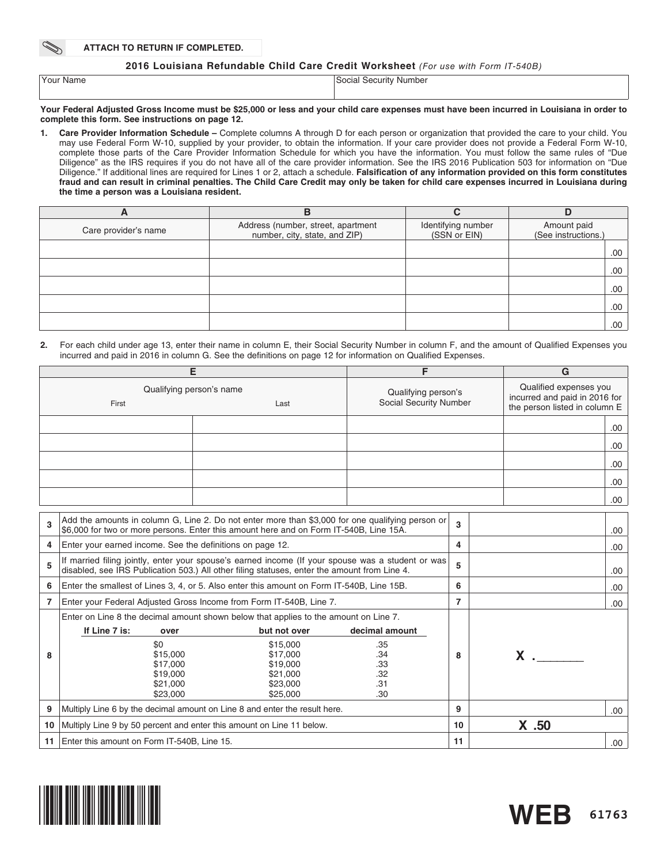**ATTACH TO RETURN IF COMPLETED.**

### **2016 Louisiana Refundable Child Care Credit Worksheet** *(For use with Form IT-540B)*

| 'Your Name | Social Security Number |
|------------|------------------------|
|            |                        |

#### **Your Federal Adjusted Gross Income must be \$25,000 or less and your child care expenses must have been incurred in Louisiana in order to complete this form. See instructions on page 12.**

**1. Care Provider Information Schedule –** Complete columns A through D for each person or organization that provided the care to your child. You may use Federal Form W-10, supplied by your provider, to obtain the information. If your care provider does not provide a Federal Form W-10, complete those parts of the Care Provider Information Schedule for which you have the information. You must follow the same rules of "Due Diligence" as the IRS requires if you do not have all of the care provider information. See the IRS 2016 Publication 503 for information on "Due Diligence." If additional lines are required for Lines 1 or 2, attach a schedule. **Falsification of any information provided on this form constitutes fraud and can result in criminal penalties. The Child Care Credit may only be taken for child care expenses incurred in Louisiana during the time a person was a Louisiana resident.** 

| A                    | В                                                                   |                                    |                                    |
|----------------------|---------------------------------------------------------------------|------------------------------------|------------------------------------|
| Care provider's name | Address (number, street, apartment<br>number, city, state, and ZIP) | Identifying number<br>(SSN or EIN) | Amount paid<br>(See instructions.) |
|                      |                                                                     |                                    | .00                                |
|                      |                                                                     |                                    | .00                                |
|                      |                                                                     |                                    | .00                                |
|                      |                                                                     |                                    | .00                                |
|                      |                                                                     |                                    | .00.                               |

**2.** For each child under age 13, enter their name in column E, their Social Security Number in column F, and the amount of Qualified Expenses you incurred and paid in 2016 in column G. See the definitions on page 12 for information on Qualified Expenses.

| Е  |                                                                       |                                                                                                                                                                                                   | F                                             |                | G                                                                                        |      |
|----|-----------------------------------------------------------------------|---------------------------------------------------------------------------------------------------------------------------------------------------------------------------------------------------|-----------------------------------------------|----------------|------------------------------------------------------------------------------------------|------|
|    | First                                                                 | Qualifying person's name<br>Last                                                                                                                                                                  | Qualifying person's<br>Social Security Number |                | Qualified expenses you<br>incurred and paid in 2016 for<br>the person listed in column E |      |
|    |                                                                       |                                                                                                                                                                                                   |                                               |                |                                                                                          | .00. |
|    |                                                                       |                                                                                                                                                                                                   |                                               |                |                                                                                          | .00. |
|    |                                                                       |                                                                                                                                                                                                   |                                               |                |                                                                                          | .00  |
|    |                                                                       |                                                                                                                                                                                                   |                                               |                |                                                                                          | .00. |
|    |                                                                       |                                                                                                                                                                                                   |                                               |                |                                                                                          | .00. |
|    |                                                                       |                                                                                                                                                                                                   |                                               |                |                                                                                          |      |
| 3  |                                                                       | Add the amounts in column G, Line 2. Do not enter more than \$3,000 for one qualifying person or<br>\$6,000 for two or more persons. Enter this amount here and on Form IT-540B, Line 15A.        |                                               | 3              |                                                                                          | .00. |
| 4  | Enter your earned income. See the definitions on page 12.             |                                                                                                                                                                                                   |                                               | 4              |                                                                                          | .00. |
| 5  |                                                                       | If married filing jointly, enter your spouse's earned income (If your spouse was a student or was<br>disabled, see IRS Publication 503.) All other filing statuses, enter the amount from Line 4. |                                               | 5              |                                                                                          | .00. |
| 6  |                                                                       | Enter the smallest of Lines 3, 4, or 5. Also enter this amount on Form IT-540B, Line 15B.                                                                                                         |                                               | 6              |                                                                                          | .00. |
| 7  |                                                                       | Enter your Federal Adjusted Gross Income from Form IT-540B, Line 7.                                                                                                                               |                                               | $\overline{7}$ |                                                                                          | .00  |
|    |                                                                       | Enter on Line 8 the decimal amount shown below that applies to the amount on Line 7.                                                                                                              |                                               |                |                                                                                          |      |
|    | If Line 7 is:<br>over                                                 | but not over                                                                                                                                                                                      | decimal amount                                |                |                                                                                          |      |
|    | \$0                                                                   | \$15,000                                                                                                                                                                                          | .35                                           |                |                                                                                          |      |
| 8  | \$15,000                                                              | \$17,000                                                                                                                                                                                          | .34                                           | 8              | $x \sim$                                                                                 |      |
|    | \$17,000                                                              | \$19,000                                                                                                                                                                                          | .33                                           |                |                                                                                          |      |
|    | \$19,000<br>\$21,000                                                  | \$21,000<br>\$23,000                                                                                                                                                                              | .32<br>.31                                    |                |                                                                                          |      |
|    | \$23,000                                                              | \$25,000                                                                                                                                                                                          | .30                                           |                |                                                                                          |      |
| 9  |                                                                       | Multiply Line 6 by the decimal amount on Line 8 and enter the result here.                                                                                                                        |                                               | 9              |                                                                                          | .00. |
| 10 | Multiply Line 9 by 50 percent and enter this amount on Line 11 below. |                                                                                                                                                                                                   |                                               |                | $X$ .50                                                                                  |      |
| 11 | Enter this amount on Form IT-540B, Line 15.                           |                                                                                                                                                                                                   |                                               |                |                                                                                          | .00. |